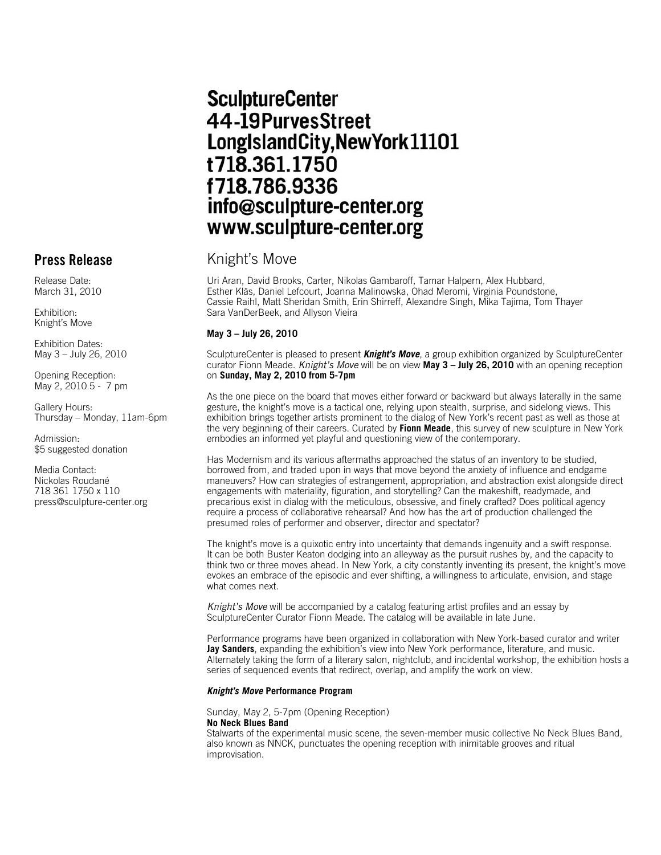# **SculptureCenter** 44-19PurvesStreet LongIslandCity, New York 11101 t718.361.1750 f718.786.9336 info@sculpture-center.org www.sculpture-center.org

# **Press Release** Knight's Move

Uri Aran, David Brooks, Carter, Nikolas Gambaroff, Tamar Halpern, Alex Hubbard, Esther Kläs, Daniel Lefcourt, Joanna Malinowska, Ohad Meromi, Virginia Poundstone, Cassie Raihl, Matt Sheridan Smith, Erin Shirreff, Alexandre Singh, Mika Tajima, Tom Thayer Sara VanDerBeek, and Allyson Vieira

### **May 3 – July 26, 2010**

SculptureCenter is pleased to present *Knight's Move*, a group exhibition organized by SculptureCenter curator Fionn Meade. *Knight's Move* will be on view **May 3 – July 26, 2010** with an opening reception on **Sunday, May 2, 2010 from 5-7pm**

As the one piece on the board that moves either forward or backward but always laterally in the same gesture, the knight's move is a tactical one, relying upon stealth, surprise, and sidelong views. This exhibition brings together artists prominent to the dialog of New York's recent past as well as those at the very beginning of their careers. Curated by **Fionn Meade**, this survey of new sculpture in New York embodies an informed yet playful and questioning view of the contemporary.

Has Modernism and its various aftermaths approached the status of an inventory to be studied, borrowed from, and traded upon in ways that move beyond the anxiety of influence and endgame maneuvers? How can strategies of estrangement, appropriation, and abstraction exist alongside direct engagements with materiality, figuration, and storytelling? Can the makeshift, readymade, and precarious exist in dialog with the meticulous, obsessive, and finely crafted? Does political agency require a process of collaborative rehearsal? And how has the art of production challenged the presumed roles of performer and observer, director and spectator?

The knight's move is a quixotic entry into uncertainty that demands ingenuity and a swift response. It can be both Buster Keaton dodging into an alleyway as the pursuit rushes by, and the capacity to think two or three moves ahead. In New York, a city constantly inventing its present, the knight's move evokes an embrace of the episodic and ever shifting, a willingness to articulate, envision, and stage what comes next.

*Knight's Move* will be accompanied by a catalog featuring artist profiles and an essay by SculptureCenter Curator Fionn Meade. The catalog will be available in late June.

Performance programs have been organized in collaboration with New York-based curator and writer **Jay Sanders**, expanding the exhibition's view into New York performance, literature, and music. Alternately taking the form of a literary salon, nightclub, and incidental workshop, the exhibition hosts a series of sequenced events that redirect, overlap, and amplify the work on view.

#### *Knight's Move* **Performance Program**

Sunday, May 2, 5-7pm (Opening Reception) **No Neck Blues Band**

Stalwarts of the experimental music scene, the seven-member music collective No Neck Blues Band, also known as NNCK, punctuates the opening reception with inimitable grooves and ritual improvisation.

Release Date: March 31, 2010

Exhibition: Knight's Move

Exhibition Dates: May 3 – July 26, 2010

Opening Reception: May 2, 2010 5 - 7 pm

Gallery Hours: Thursday – Monday, 11am-6pm

Admission: \$5 suggested donation

Media Contact: Nickolas Roudané 718 361 1750 x 110 press@sculpture-center.org